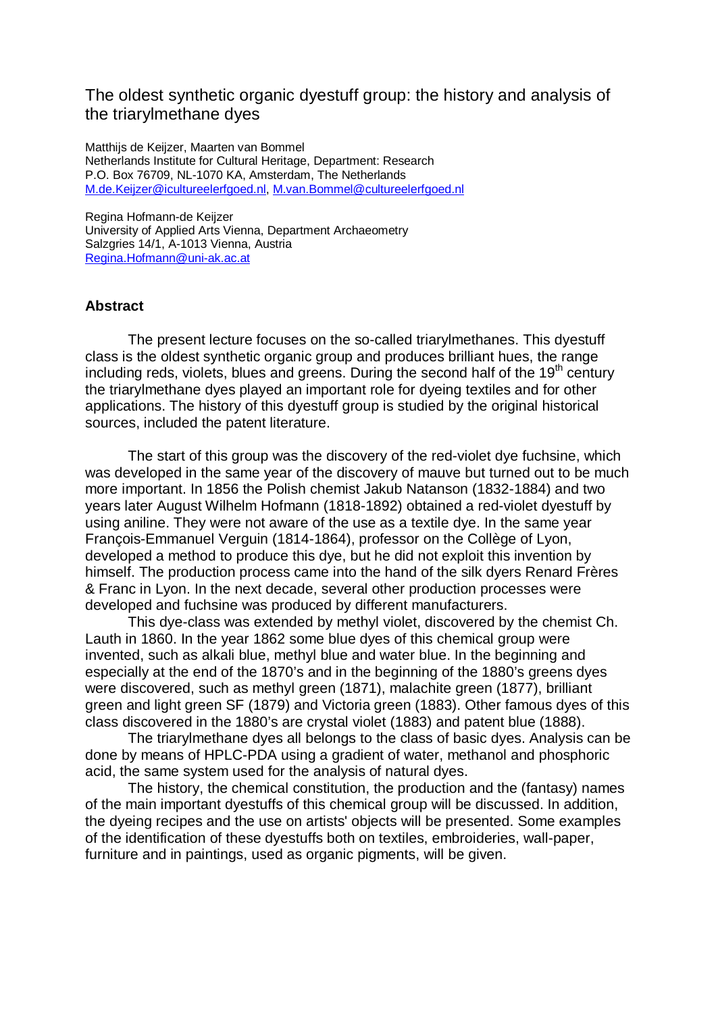## The oldest synthetic organic dyestuff group: the history and analysis of the triarylmethane dyes

Matthijs de Keijzer, Maarten van Bommel Netherlands Institute for Cultural Heritage, Department: Research P.O. Box 76709, NL-1070 KA, Amsterdam, The Netherlands M.de.Keijzer@icultureelerfgoed.nl, M.van.Bommel@cultureelerfgoed.nl

Regina Hofmann-de Keijzer University of Applied Arts Vienna, Department Archaeometry Salzgries 14/1, A-1013 Vienna, Austria Regina.Hofmann@uni-ak.ac.at

## **Abstract**

 The present lecture focuses on the so-called triarylmethanes. This dyestuff class is the oldest synthetic organic group and produces brilliant hues, the range including reds, violets, blues and greens. During the second half of the  $19<sup>th</sup>$  century the triarylmethane dyes played an important role for dyeing textiles and for other applications. The history of this dyestuff group is studied by the original historical sources, included the patent literature.

 The start of this group was the discovery of the red-violet dye fuchsine, which was developed in the same year of the discovery of mauve but turned out to be much more important. In 1856 the Polish chemist Jakub Natanson (1832-1884) and two years later August Wilhelm Hofmann (1818-1892) obtained a red-violet dyestuff by using aniline. They were not aware of the use as a textile dye. In the same year François-Emmanuel Verguin (1814-1864), professor on the Collège of Lyon, developed a method to produce this dye, but he did not exploit this invention by himself. The production process came into the hand of the silk dyers Renard Frères & Franc in Lyon. In the next decade, several other production processes were developed and fuchsine was produced by different manufacturers.

 This dye-class was extended by methyl violet, discovered by the chemist Ch. Lauth in 1860. In the year 1862 some blue dyes of this chemical group were invented, such as alkali blue, methyl blue and water blue. In the beginning and especially at the end of the 1870's and in the beginning of the 1880's greens dyes were discovered, such as methyl green (1871), malachite green (1877), brilliant green and light green SF (1879) and Victoria green (1883). Other famous dyes of this class discovered in the 1880's are crystal violet (1883) and patent blue (1888).

 The triarylmethane dyes all belongs to the class of basic dyes. Analysis can be done by means of HPLC-PDA using a gradient of water, methanol and phosphoric acid, the same system used for the analysis of natural dyes.

 The history, the chemical constitution, the production and the (fantasy) names of the main important dyestuffs of this chemical group will be discussed. In addition, the dyeing recipes and the use on artists' objects will be presented. Some examples of the identification of these dyestuffs both on textiles, embroideries, wall-paper, furniture and in paintings, used as organic pigments, will be given.